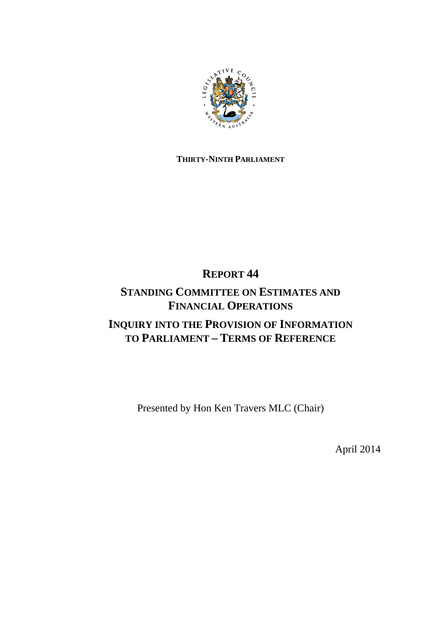

# **THIRTY-NINTH PARLIAMENT**

# **REPORT 44**

# **STANDING COMMITTEE ON ESTIMATES AND FINANCIAL OPERATIONS**

# **INQUIRY INTO THE PROVISION OF INFORMATION TO PARLIAMENT – TERMS OF REFERENCE**

Presented by Hon Ken Travers MLC (Chair)

April 2014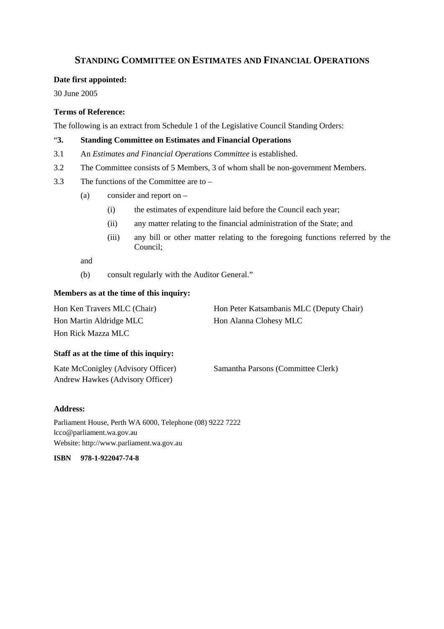## **STANDING COMMITTEE ON ESTIMATES AND FINANCIAL OPERATIONS**

#### **Date first appointed:**

30 June 2005

## **Terms of Reference:**

The following is an extract from Schedule 1 of the Legislative Council Standing Orders:

### "**3. Standing Committee on Estimates and Financial Operations**

- 3.1 An *Estimates and Financial Operations Committee* is established.
- 3.2 The Committee consists of 5 Members, 3 of whom shall be non-government Members.
- 3.3 The functions of the Committee are to
	- (a) consider and report on
		- (i) the estimates of expenditure laid before the Council each year;
		- (ii) any matter relating to the financial administration of the State; and
		- (iii) any bill or other matter relating to the foregoing functions referred by the Council;

and

(b) consult regularly with the Auditor General."

### **Members as at the time of this inquiry:**

| Hon Ken Travers MLC (Chair) | Hon Peter Katsambanis MLC (Deputy Chair) |
|-----------------------------|------------------------------------------|
| Hon Martin Aldridge MLC     | Hon Alanna Clohesy MLC                   |
| Hon Rick Mazza MLC          |                                          |

#### **Staff as at the time of this inquiry:**

| Kate McConigley (Advisory Officer) | Samantha Parsons (Committee Clerk) |
|------------------------------------|------------------------------------|
| Andrew Hawkes (Advisory Officer)   |                                    |

#### **Address:**

Parliament House, Perth WA 6000, Telephone (08) 9222 7222 lcco@parliament.wa.gov.au Website: http://www.parliament.wa.gov.au

**ISBN 978-1-922047-74-8**